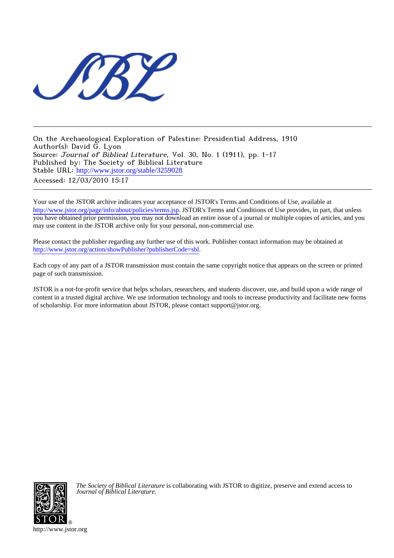

On the Archaeological Exploration of Palestine: Presidential Address, 1910 Author(s): David G. Lyon Source: Journal of Biblical Literature, Vol. 30, No. 1 (1911), pp. 1-17 Published by: The Society of Biblical Literature Stable URL: [http://www.jstor.org/stable/3259028](http://www.jstor.org/stable/3259028?origin=JSTOR-pdf) Accessed: 12/03/2010 15:17

Your use of the JSTOR archive indicates your acceptance of JSTOR's Terms and Conditions of Use, available at <http://www.jstor.org/page/info/about/policies/terms.jsp>. JSTOR's Terms and Conditions of Use provides, in part, that unless you have obtained prior permission, you may not download an entire issue of a journal or multiple copies of articles, and you may use content in the JSTOR archive only for your personal, non-commercial use.

Please contact the publisher regarding any further use of this work. Publisher contact information may be obtained at [http://www.jstor.org/action/showPublisher?publisherCode=sbl.](http://www.jstor.org/action/showPublisher?publisherCode=sbl)

Each copy of any part of a JSTOR transmission must contain the same copyright notice that appears on the screen or printed page of such transmission.

JSTOR is a not-for-profit service that helps scholars, researchers, and students discover, use, and build upon a wide range of content in a trusted digital archive. We use information technology and tools to increase productivity and facilitate new forms of scholarship. For more information about JSTOR, please contact support@jstor.org.



*The Society of Biblical Literature* is collaborating with JSTOR to digitize, preserve and extend access to *Journal of Biblical Literature.*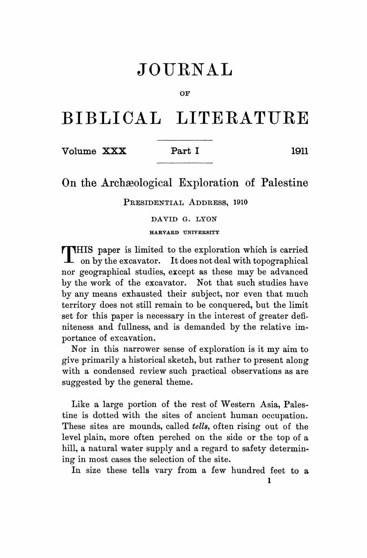## **JOURNAL**

**OF** 

## **BIBLICAL LITERATURE**

**Volume XXX Part I 1911** 

**On the Archaeological Exploration of Palestine** 

**PRESIDENTIAL ADDRESS, 1910** 

**DAVID G. LYON** 

**HARVARD UNIVERSITY** 

**THIS paper is limited to the exploration which is carried on by the excavator. It does not deal with topographical nor geographical studies, except as these may be advanced by the work of the excavator. Not that such studies have by any means exhausted their subject, nor even that much territory does not still remain to be conquered, but the limit set for this paper is necessary in the interest of greater definiteness and fullness, and is demanded by the relative importance of excavation.** 

**Nor in this narrower sense of exploration is it my aim to give primarily a historical sketch, but rather to present along with a condensed review such practical observations as are suggested by the general theme.** 

**Like a large portion of the rest of Western Asia, Palestine is dotted with the sites of ancient human occupation. These sites are mounds, called tells, often rising out of the level plain, more often perched on the side or the top of a hill, a natural water supply and a regard to safety determining in most cases the selection of the site.** 

**In size these tells vary from a few hundred feet to a**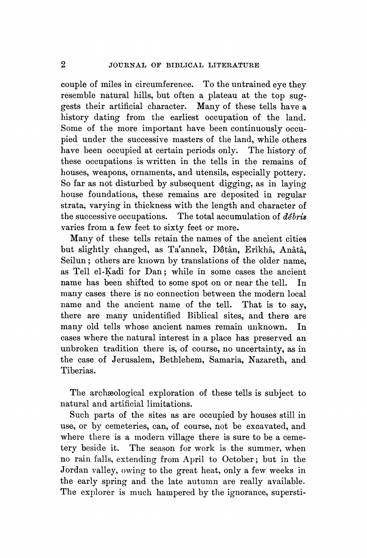**couple of miles in circumference. To the untrained eye they**  resemble natural hills, but often a plateau at the top sug-<br>gests their artificial character. Many of these tells have a gests their artificial character. **history dating from the earliest occupation of the land. Some of the more important have been continuously occupied under the successive masters of the land, while others have been occupied at certain periods only. The history of these occupations is written in the tells in the remains of houses, weapons, ornaments, and utensils, especially pottery. So far as not disturbed by subsequent digging, as in laying house foundations, these remains are deposited in regular strata, varying in thickness with the length and character of**  the successive occupations. The total accumulation of *débris* **varies from a few feet to sixty feet or more.** 

**Many of these tells retain the names of the ancient cities but slightly changed, as Ta'annek, D8tan, Erikha, Anata, Seilun; others are known by translations of the older name, as Tell el-Kadi for Dan; while in some cases the ancient name has been shifted to some spot on or near the tell. In many cases there is no connection between the modern local name and the ancient name of the tell. That is to say, there are many unidentified Biblical sites, and there are**  many old tells whose ancient names remain unknown. **cases where the natural interest in a place has preserved an unbroken tradition there is, of course, no uncertainty, as in the case of Jerusalem, Bethlehem, Samaria, Nazareth, and Tiberias.** 

**The archaeological exploration of these tells is subject to natural and artificial limitations.** 

**Such parts of the sites as are occupied by houses still in use, or by cemeteries, can, of course, not be excavated, and where there is a modern village there is sure to be a cemetery beside it. The season for work is the summer, when no rain falls, extending from April to October; but in the Jordan valley, owing to the great heat, only a few weeks in the early spring and the late autumn are really available. The explorer is much hampered by the ignorance, supersti-**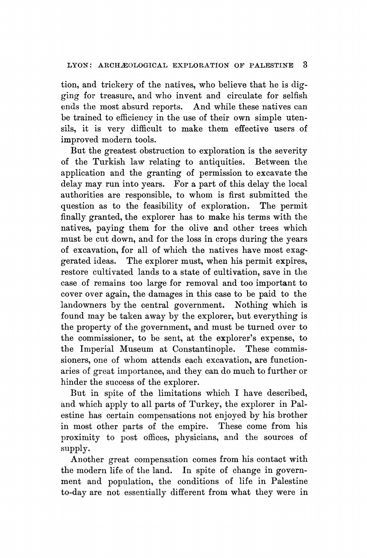**tion, and trickery of the natives, who believe that he is digging for treasure, and who invent and circulate for selfish ends the most absurd reports. And while these natives can be trained to efficiency in the use of their own simple utensils, it is very difficult to make them effective users of improved modern tools.** 

**But the greatest obstruction to exploration is the severity of the Turkish law relating to antiquities. Between the application and the granting of permission to excavate the delay may run into years. For a part of this delay the local authorities are responsible, to whom is first submitted the question as to the feasibility of exploration. The permit finally granted, the explorer has to make his terms with the natives, paying them for the olive and other trees which must be cut down, and for the loss in crops during the years of excavation, for all of which the natives have most exaggerated ideas. The explorer must, when his permit expires, restore cultivated lands to a state of cultivation, save in the case of remains too large for removal and too important to cover over again, the damages in this case to be paid to the landowners by the central government. Nothing which is found may be taken away by the explorer, but everything is the property of the government, and must be turned over to the commissioner, to be sent, at the explorer's expense, to the Imperial Museum at Constantinople. These commissioners, one of whom attends each excavation, are functionaries of great importance, and they can do much to further or hinder the success of the explorer.** 

**But in spite of the limitations which I have described, and which apply to all parts of Turkey, the explorer in Palestine has certain compensations not enjoyed by his brother in most other parts of the empire. These come from his proximity to post offices, physicians, and the sources of supply.** 

**Another great compensation comes from his contact with the modern life of the land. In spite of change in government and population, the conditions of life in Palestine to-day are not essentially different from what they were in**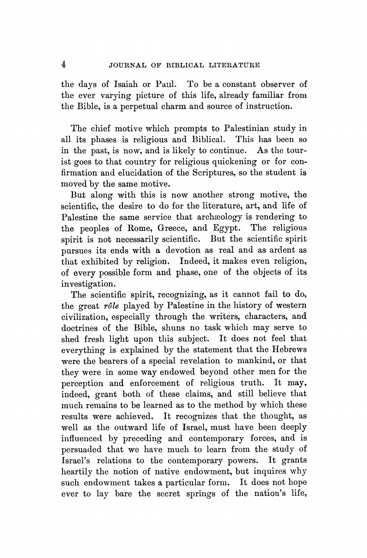**the days of Isaiah or Paul. To be a constant observer of the ever varying picture of this life, already familiar from the Bible, is a perpetual charm and source of instruction.** 

**The chief motive which prompts to Palestinian study in**  all its phases is religious and Biblical. **in the past, is now, and is likely to continue. As the tourist goes to that country for religious quickening or for confirmation and elucidation of the Scriptures, so the student is moved by the same motive.** 

**But along with this is now another strong motive, the scientific, the desire to do for the literature, art, and life of**  Palestine the same service that archaeology is rendering to **the peoples of Rome, Greece, and Egypt. The religious spirit is not necessarily scientific. But the scientific spirit pursues its ends with a devotion as real and as ardent as that exhibited by religion. Indeed, it makes even religion, of every possible form and phase, one of the objects of its investigation.** 

**The scientific spirit, recognizing, as it cannot fail to do,**  the great rôle played by Palestine in the history of western **civilization, especially through the writers, characters, and doctrines of the Bible, shuns no task which may serve to shed fresh light upon this subject. It does not feel that everything is explained by the statement that the Hebrews were the bearers of a special revelation to mankind, or that**  they were in some way endowed beyond other men for the perception and enforcement of religious truth. It may, perception and enforcement of religious truth. **indeed, grant both of these claims, and still believe that much remains to be learned as to the method by which these results were achieved. It recognizes that the thought, as well as the outward life of Israel, must have been deeply influenced by preceding and contemporary forces, and is persuaded that we have much to learn from the study of Israel's relations to the contemporary powers. It grants heartily the notion of native endowment, but inquires why such endowment takes a particular form. It does not hope ever to lay bare the secret springs of the nation's life,**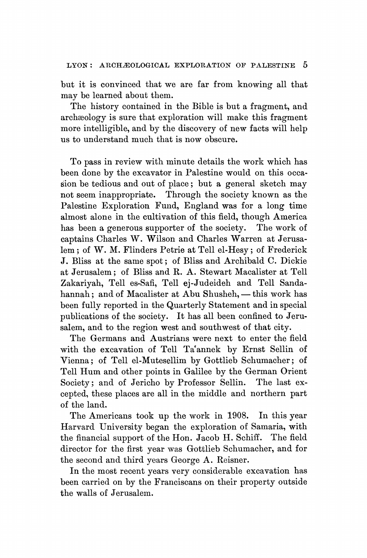**but it is convinced that we are far from knowing all that may be learned about them.** 

**The history contained in the Bible is but a fragment, and archaeology is sure that exploration will make this fragment more intelligible, and by the discovery of new facts will help us to understand much that is now obscure.** 

**To pass in review with minute details the work which has been done by the excavator in Palestine would on this occasion be tedious and out of place; but a general sketch may not seem inappropriate. Through the society known as the Palestine Exploration Fund, England was for a long time almost alone in the cultivation of this field, though America has been a generous supporter of the society. The work of captains Charles W. Wilson and Charles Warren at Jerusalem; of W. M. Flinders Petrie at Tell el-Hesy; of Frederick J. Bliss at the same spot; of Bliss and Archibald C. Dickie at Jerusalem; of Bliss and R. A. Stewart Macalister at Tell Zakariyah, Tell es-Safi, Tell ej-Judeideh and Tell Sanda**hannah; and of Macalister at Abu Shusheh, - this work has **been fully reported in the Quarterly Statement and in special publications of the society. It has all been confined to Jerusalem, and to the region west and southwest of that city.** 

**The Germans and Austrians were next to enter the field with the excavation of Tell Ta'annek by Ernst Sellin of Vienna; of Tell el-Mutesellim by Gottlieb Schumacher; of Tell Hum and other points in Galilee by the German Orient**  Society; and of Jericho by Professor Sellin. **cepted, these places are all in the middle and northern part of the land.** 

**The Americans took up the work in 1908. In this year Harvard University began the exploration of Samaria, with the financial support of the Hon. Jacob H. Schiff. The field director for the first year was Gottlieb Schumacher, and for the second and third years George A. Reisner.** 

**In the most recent years very considerable excavation has been carried on by the Franciscans on their property outside the walls of Jerusalem.**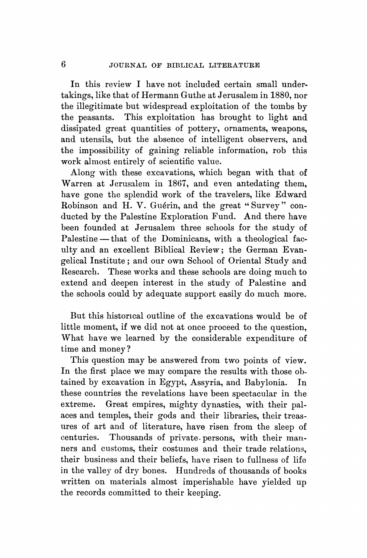**In this review I have not included certain small undertakings, like that of Hermann Guthe at Jerusalem in 1880, nor the illegitimate but widespread exploitation of the tombs by**  This exploitation has brought to light and **dissipated great quantities of pottery, ornaments, weapons, and utensils, but the absence of intelligent observers, and the impossibility of gaining reliable information, rob this work almost entirely of scientific value.** 

**Along with these excavations, which began with that of Warren at Jerusalem in 1867, and even antedating them, have gone the splendid work of the travelers, like Edward**  Robinson and H. V. Guérin, and the great "Survey" con**ducted by the Palestine Exploration Fund. And there have been founded at Jerusalem three schools for the study of**  Palestine — that of the Dominicans, with a theological fac**ulty and an excellent Biblical Review; the German Evangelical Institute; and our own School of Oriental Study and Research. These works and these schools are doing much to extend and deepen interest in the study of Palestine and the schools could by adequate support easily do much more.** 

**But this historical outline of the excavations would be of little moment, if we did not at once proceed to the question, What have we learned by the considerable expenditure of time and money?** 

**This question may be answered from two points of view. In the first place we may compare the results with those obtained by excavation in Egypt, Assyria, and Babylonia. In**  these countries the revelations have been spectacular in the extreme. Great empires, mighty dynasties, with their pal-Great empires, mighty dynasties, with their pal**aces and temples, their gods and their libraries, their treasures of art and of literature, have risen from the sleep of**  Thousands of private persons, with their man**ners and customs, their costumes and their trade relations, their business and their beliefs, have risen to fullness of life in the valley of dry bones. Hundreds of thousands of books written on materials almost imperishable have yielded up the records committed to their keeping.**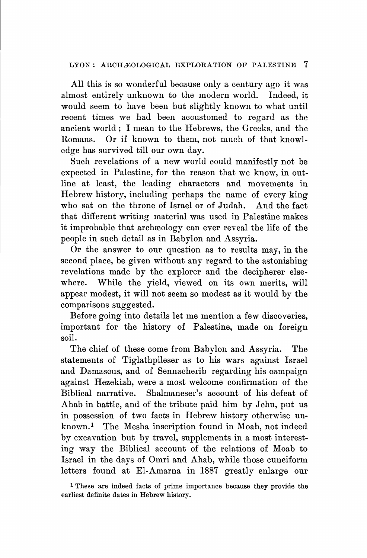**All this is so wonderful because only a century ago it was almost entirely unknown to the modern world. Indeed, it would seem to have been but slightly known to what until recent times we had been accustomed to regard as the ancient world; I mean to the Hebrews, the Greeks, and the Romans. Or if known to them, not much of that knowledge has survived till our own day.** 

**Such revelations of a new world could manifestly not be expected in Palestine, for the reason that we know, in outline at least, the leading characters and movements in Hebrew history, including perhaps the name of every king who sat on the throne of Israel or of Judah. And the fact that different writing material was used in Palestine makes it improbable that archeology can ever reveal the life of the people in such detail as in Babylon and Assyria.** 

**Or the answer to our question as to results may, in the second place, be given without any regard to the astonishing revelations made by the explorer and the decipherer elsewhere. While the yield, viewed on its own merits, will appear modest, it will not seem so modest as it would by the comparisons suggested.** 

**Before going into details let me mention a few discoveries, important for the history of Palestine, made on foreign soil.** 

**The chief of these come from Babylon and Assyria. The statements of Tiglathpileser as to his wars against Israel and Damascus, and of Sennacherib regarding his campaign against Hezekiah, were a most welcome confirmation of the Biblical narrative. Shalmaneser's account of his defeat of Ahab in battle, and of the tribute paid him by Jehu, put us in possession of two facts in Hebrew history otherwise unknown.1 The Mesha inscription found in Moab, not indeed by excavation but by travel, supplements in a most interesting way the Biblical account of the relations of Moab to Israel in the days of Omri and Ahab, while those cuneiform letters found at El-Amarna in 1887 greatly enlarge our** 

**<sup>1</sup> These are indeed facts of prime importance because they provide the earliest definite dates in Hebrew history.**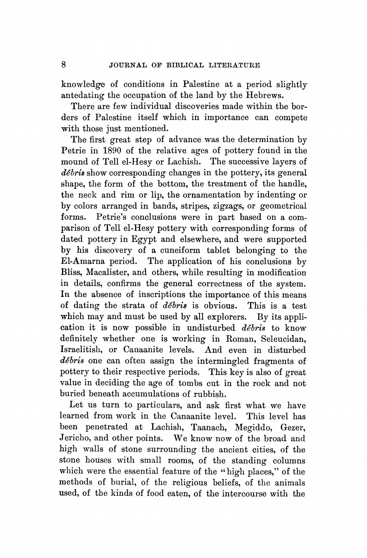**knowledge of conditions in Palestine at a period slightly antedating the occupation of the land by the Hebrews.** 

**There are few individual discoveries made within the borders of Palestine itself which in importance can compete with those just mentioned.** 

**The first great step of advance was the determination by Petrie in 1890 of the relative ages of pottery found in the mound of Tell el-Hesy or Lachish. The successive layers of debris show corresponding changes in the pottery, its general shape, the form of the bottom, the treatment of the handle, the neck and rim or lip, the ornamentation by indenting or by colors arranged in bands, stripes, zigzags, or geometrical forms. Petrie's conclusions were in part based on a comparison of Tell el-Hesy pottery with corresponding forms of dated pottery in Egypt and elsewhere, and were supported by his discovery of a cuneiform tablet belonging to the El-Amarna period. The application of his conclusions by Bliss, Macalister, and others, while resulting in modification in details, confirms the general correctness of the system.**  In the absence of inscriptions the importance of this means of dating the strata of *débris* is obvious. This is a test of dating the strata of  $d\acute{e}bris$  is obvious. This is a test which may and must be used by all explorers. By its appliwhich may and must be used by all explorers. **cation it is now possible in undisturbed debris to know definitely whether one is working in Roman, Seleucidan, Israelitish, or Canaanite levels. And even in disturbed**  débris one can often assign the intermingled fragments of **pottery to their respective periods. This key is also of great value in deciding the age of tombs cut in the rock and not buried beneath accumulations of rubbish.** 

Let us turn to particulars, and ask first what we have larned from work in the Canaanite level. This level has learned from work in the Canaanite level. **been penetrated at Lachish, Taanach, Megiddo, Gezer, Jericho, and other points. We know now of the broad and high walls of stone surrounding the ancient cities, of the stone houses with small rooms, of the standing columns which were the essential feature of the "high places," of the methods of burial, of the religious beliefs, of the animals used, of the kinds of food eaten, of the intercourse with the**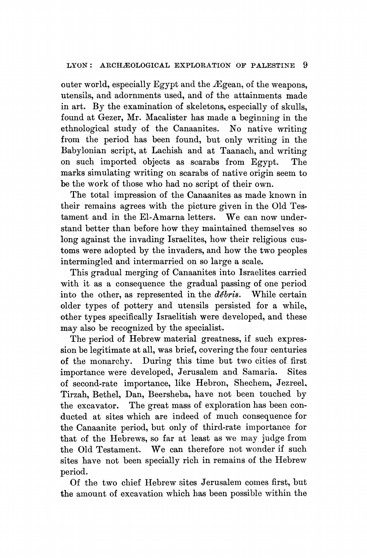**outer world, especially Egypt and the AEgean, of the weapons, utensils, and adornments used, and of the attainments made in art. By the examination of skeletons, especially of skulls, found at Gezer, Mr. Macalister has made a beginning in the ethnological study of the Canaanites. No native writing from the period has been found, but only writing in the Babylonian script, at Lachish and at Taanach, and writing**  on such imported objects as scarabs from Egypt. **marks simulating writing on scarabs of native origin seem to be the work of those who had no script of their own.** 

**The total impression of the Canaanites as made known in their remains agrees with the picture given in the Old Tes**tament and in the El-Amarna letters. **stand better than before how they maintained themselves so long against the invading Israelites, how their religious customs were adopted by the invaders, and how the two peoples intermingled and intermarried on so large a scale.** 

**This gradual merging of Canaanites into Israelites carried with it as a consequence the gradual passing of one period**  into the other, as represented in the  $d\ell b$ ris. While certain **older types of pottery and utensils persisted for a while, other types specifically Israelitish were developed, and these may also be recognized by the specialist.** 

**The period of Hebrew material greatness, if such expression be legitimate at all, was brief, covering the four centuries**  During this time but two cities of first eveloped. Jerusalem and Samaria. Sites importance were developed, Jerusalem and Samaria. **of second-rate importance, like Hebron, Shechem, Jezreel, Tirzah, Bethel, Dan, Beersheba, have not been touched by**  The great mass of exploration has been con**ducted at sites which are indeed of much consequence for the Canaanite period, but only of third-rate importance for that of the Hebrews, so far at least as we may judge from**  We can therefore not wonder if such **sites have not been specially rich in remains of the Hebrew period.** 

**Of the two chief Hebrew sites Jerusalem comes first, but the amount of excavation which has been possible within the**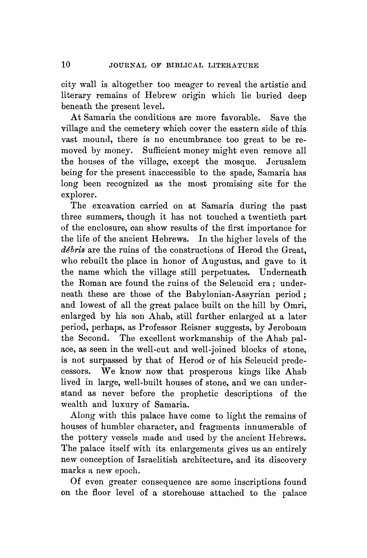**city wall is altogether too meager to reveal the artistic and literary remains of Hebrew origin which lie buried deep beneath the present level.** 

**At Samaria the conditions are more favorable. Save the village and the cemetery which cover the eastern side of this vast mound, there is no encumbrance too great to be removed by money. Sufficient money might even remove all the houses of the village, except the mosque. Jerusalem being for the present inaccessible to the spade, Samaria has long been recognized as the most promising site for the explorer.** 

**The excavation carried on at Samaria during the past three summers, though it has not touched a twentieth part of the enclosure, can show results of the first importance for the life of the ancient Hebrews. In the higher levels of the d6bris are the ruins of the constructions of Herod the Great, who rebuilt the place in honor of Augustus, and gave to it the name which the village still perpetuates. Underneath the Roman are found the ruins of the Seleucid era; underneath these are those of the Babylonian-Assyrian period; and lowest of all the great palace built on the hill by Omri, enlarged by his son Ahab, still further enlarged at a later period, perhaps, as Professor Reisner suggests, by Jeroboam the Second. The excellent workmanship of the Ahab palace, as seen in the well-cut and well-joined blocks of stone, is not surpassed by that of Herod or of his Seleucid predecessors. We know now that prosperous kings like Ahab lived in large, well-built houses of stone, and we can understand as never before the prophetic descriptions of the wealth and luxury of Samaria.** 

**Along with this palace have come to light the remains of houses of humbler character, and fragments innumerable of the pottery vessels made and used by the ancient Hebrews. The palace itself with its enlargements gives us an entirely new conception of Israelitish architecture, and its discovery marks a new epoch.** 

**Of even greater consequence are some inscriptions found on the floor level of a storehouse attached to the palace**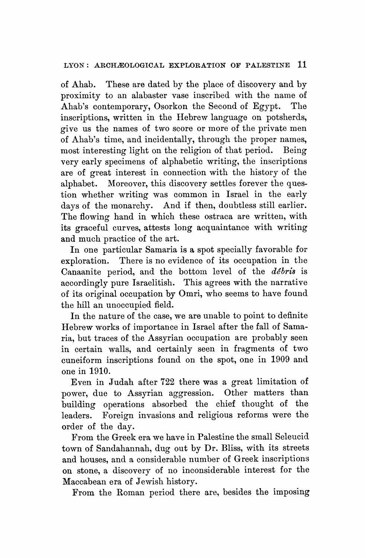**of Ahab. These are dated by the place of discovery and by proximity to an alabaster vase inscribed with the name of**  Ahab's contemporary, Osorkon the Second of Egypt. **inscriptions, written in the Hebrew language on potsherds, give us the names of two score or more of the private men of Ahab's time, and incidentally, through the proper names,**  most interesting light on the religion of that period. **very early specimens of alphabetic writing, the inscriptions are of great interest in connection with the history of the alphabet. Moreover, this discovery settles forever the question whether writing was common in Israel in the early days of the monarchy. And if then, doubtless still earlier. The flowing hand in which these ostraca are written, with its graceful curves, attests long acquaintance with writing and much practice of the art.** 

**In one particular Samaria is a spot specially favorable for exploration. There is no evidence of its occupation in the**  Canaanite period, and the bottom level of the *débris* is **accordingly pure Israelitish. This agrees with the narrative of its original occupation by Omri, who seems to have found the hill an unoccupied field.** 

**In the nature of the case, we are unable to point to definite Hebrew works of importance in Israel after the fall of Samaria, but traces of the Assyrian occupation are probably seen in certain walls, and certainly seen in fragments of two cuneiform inscriptions found on the spot, one in 1909 and one in 1910.** 

**Even in Judah after 722 there was a great limitation of power, due to Assyrian aggression. Other matters than building operations absorbed the chief thought of the leaders. Foreign invasions and religious reforms were the order of the day.** 

**From the Greek era we have in Palestine the small Seleucid town of Sandahannah, dug out by Dr. Bliss, with its streets and houses, and a considerable number of Greek inscriptions on stone, a discovery of no inconsiderable interest for the Maccabean era of Jewish history.** 

**From the Roman period there are, besides the imposing**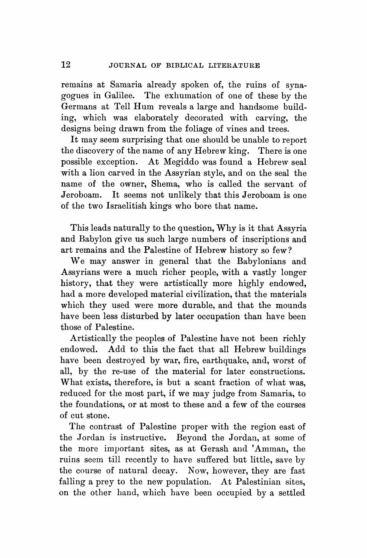**remains at Samaria already spoken of, the ruins of synagogues in Galilee. The exhumation of one of these by the Germans at Tell Hum reveals a large and handsome building, which was elaborately decorated with carving, the designs being drawn from the foliage of vines and trees.** 

**It may seem surprising that one should be unable to report the discovery of the name of any Hebrew king. There is one possible exception. At Megiddo was found a Hebrew seal with a lion carved in the Assyrian style, and on the seal the**  name of the owner, Shema, who is called the servant of Jeroboam. It seems not unlikely that this Jeroboam is one **Jeroboam. It seems not unlikely that this Jeroboam is one of the two Israelitish kings who bore that name.** 

**This leads naturally to the question, Why is it that Assyria and Babylon give us such large numbers of inscriptions and art remains and the Palestine of Hebrew history so few?** 

**We may answer in general that the Babylonians and Assyrians were a much richer people, with a vastly longer history, that they were artistically more highly endowed, had a more developed material civilization, that the materials which they used were more durable, and that the mounds have been less disturbed by later occupation than have been those of Palestine.** 

**Artistically the peoples of Palestine have not been richly endowed. Add to this the fact that all Hebrew buildings have been destroyed by war, fire, earthquake, and, worst of all, by the re-use of the material for later constructions. What exists, therefore, is but a scant fraction of what was, reduced for the most part, if we may judge from Samaria, to the foundations, or at most to these and a few of the courses of cut stone.** 

**The contrast of Palestine proper with the region east of the Jordan is instructive. Beyond the Jordan, at some of the more important sites, as at Gerash and 'Amman, the ruins seem till recently to have suffered but little, save by the course of natural decay. Now, however, they are fast falling a prey to the new population. At Palestinian sites, on the other hand, which have been occupied by a settled**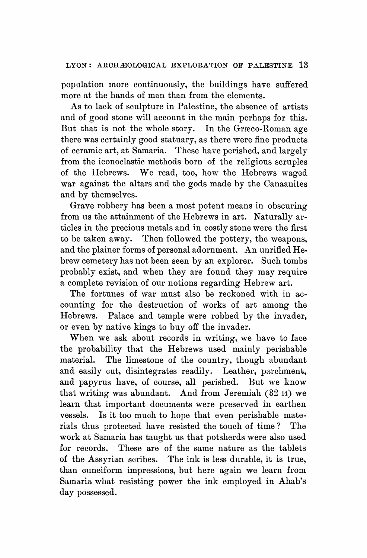**population more continuously, the buildings have suffered more at the hands of man than from the elements.** 

**As to lack of sculpture in Palestine, the absence of artists and of good stone will account in the main perhaps for this.**  But that is not the whole story. In the Græco-Roman age **there was certainly good statuary, as there were fine products of ceramic art, at Samaria. These have perished, and largely from the iconoclastic methods born of the religious scruples of the Hebrews. We read, too, how the Hebrews waged war against the altars and the gods made by the Canaanites and by themselves.** 

**Grave robbery has been a most potent means in obscuring from us the attainment of the Hebrews in art. Naturally articles in the precious metals and in costly stone were the first to be taken away. Then followed the pottery, the weapons, and the plainer forms of personal adornment. An unrifled Hebrew cemetery has not been seen by an explorer. Such tombs probably exist, and when they are found they may require a complete revision of our notions regarding Hebrew art.** 

**The fortunes of war must also be reckoned with in accounting for the destruction of works of art among the Hebrews. Palace and temple were robbed by the invader, or even by native kings to buy off the invader.** 

**When we ask about records in writing, we have to face the probability that the Hebrews used mainly perishable**  The limestone of the country, though abundant **and easily cut, disintegrates readily. Leather, parchment, and papyrus have, of course, all perished. But we know that writing was abundant. And from Jeremiah (32 14) we learn that important documents were preserved in earthen vessels. Is it too much to hope that even perishable materials thus protected have resisted the touch of time ? The work at Samaria has taught us that potsherds were also used**  These are of the same nature as the tablets **of the Assyrian scribes. The ink is less durable, it is true, than cuneiform impressions, but here again we learn from Samaria what resisting power the ink employed in Ahab's day possessed.**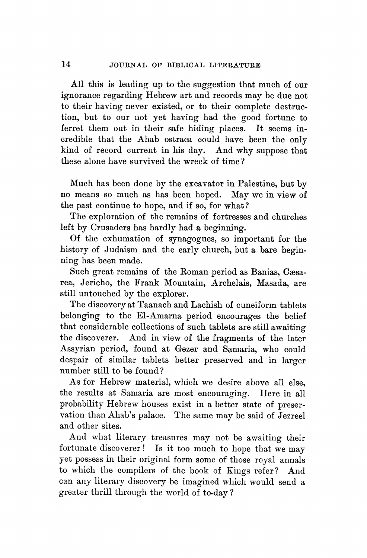**All this is leading up to the suggestion that much of our ignorance regarding Hebrew art and records may be due not to their having never existed, or to their complete destruction, but to our not yet having had the good fortune to**  ferret them out in their safe hiding places. It seems in**credible that the Ahab ostraca could have been the only kind of record current in his day. And why suppose that these alone have survived the wreck of time ?** 

**Much has been done by the excavator in Palestine, but by no means so much as has been hoped. May we in view of the past continue to hope, and if so, for what?** 

**The exploration of the remains of fortresses and churches left by Crusaders has hardly had a beginning.** 

**Of the exhumation of synagogues, so important for the history of Judaism and the early church, but a bare beginning has been made.** 

Such great remains of the Roman period as Banias, Cæsa**rea, Jericho, the Frank Mountain, Archelais, Masada, are still untouched by the explorer.** 

**The discovery at Taanach and Lachish of cuneiform tablets belonging to the El-Amarna period encourages the belief that considerable collections of such tablets are still awaiting the discoverer. And in view of the fragments of the later Assyrian period, found at Gezer and Samaria, who could despair of similar tablets better preserved and in larger number still to be found?** 

**As for Hebrew material, which we desire above all else, the results at Samaria are most encouraging. Here in all probability Hebrew houses exist in a better state of preservation than Ahab's palace. The same may be said of Jezreel and other sites.** 

**And what literary treasures may not be awaiting their fortunate discoverer! Is it too much to hope that we may yet possess in their original form some of those royal annals to which the compilers of the book of Kings refer? And can any literary discovery be imagined which would send a greater thrill through the world of to-day ?**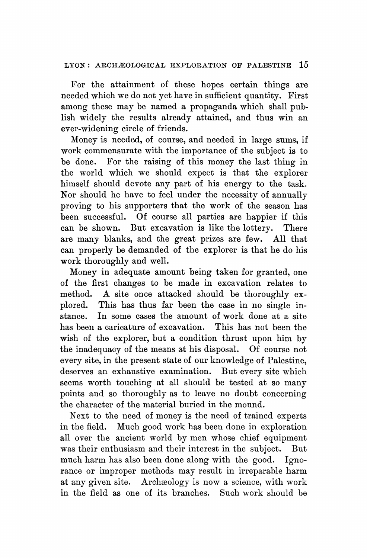**LYON: ARCH2EOLOGICAL EXPLORATION OF PALESTINE 15** 

**For the attainment of these hopes certain things are needed which we do not yet have in sufficient quantity. First among these may be named a propaganda which shall publish widely the results already attained, and thus win an ever-widening circle of friends.** 

**Money is needed, of course, and needed in large sums, if work commensurate with the importance of the subject is to**  For the raising of this money the last thing in **the world which we should expect is that the explorer himself should devote any part of his energy to the task. Nor should he have to feel under the necessity of annually proving to his supporters that the work of the season has been successful. Of course all parties are happier if this can be shown. But excavation is like the lottery. There are many blanks, and the great prizes are few. All that can properly be demanded of the explorer is that he do his work thoroughly and well.** 

**Money in adequate amount being taken for granted, one of the first changes to be made in excavation relates to**  method. A site once attacked should be thoroughly ex-<br>plored. This has thus far been the case in no single in**plored. This has thus far been the case in no single in-**In some cases the amount of work done at a site **has been a caricature of excavation. This has not been the wish of the explorer, but a condition thrust upon him by the inadequacy of the means at his disposal. Of course not every site, in the present state of our knowledge of Palestine,**  deserves an exhaustive examination. **seems worth touching at all should be tested at so many points and so thoroughly as to leave no doubt concerning the character of the material buried in the mound.** 

**Next to the need of money is the need of trained experts in the field. Much good work has been done in exploration all over the ancient world by men whose chief equipment was their enthusiasm and their interest in the subject. But**  much harm has also been done along with the good. **rance or improper methods may result in irreparable harm at any given site. Archaeology is now a science, with work in the field as one of its branches. Such work should be**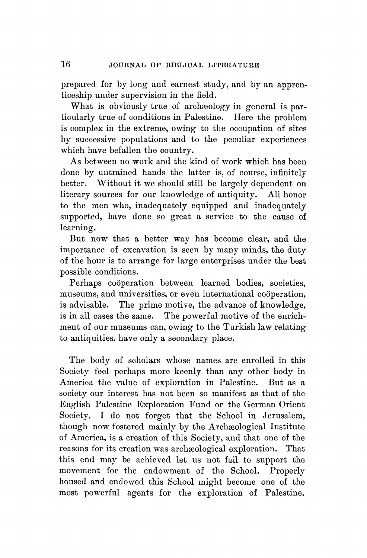**prepared for by long and earnest study, and by an apprenticeship under supervision in the field.** 

What is obviously true of archaeology in general is par**ticularly true of conditions in Palestine. Here the problem is complex in the extreme, owing to the occupation of sites by successive populations and to the peculiar experiences which have befallen the country.** 

**As between no work and the kind of work which has been done by untrained hands the latter is, of course, infinitely better. Without it we should still be largely dependent on literary sources for our knowledge of antiquity. All honor to the men who, inadequately equipped and inadequately supported, have done so great a service to the cause of learning.** 

**But now that a better way has become clear, and the importance of excavation is seen by many minds, the duty of the hour is to arrange for large enterprises under the best possible conditions.** 

**Perhaps cooperation between learned bodies, societies,**  museums, and universities, or even international cooperation, **is advisable. The prime motive, the advance of knowledge,**  The powerful motive of the enrich**ment of our museums can, owing to the Turkish law relating to antiquities. have only a secondary place.** 

**The body of scholars whose names are enrolled in this Society feel perhaps more keenly than any other body in**  America the value of exploration in Palestine. **society our interest has not been so manifest as that of the English Palestine Exploration Fund or the German Orient Society. I do not forget that the School in Jerusalem, though now fostered mainly by the Archaeological Institute of America, is a creation of this Society, and that one of the reasons for its creation was archaeological exploration. That this end may be achieved let us not fail to support the movement for the endowment of the School. Properly housed and endowed this School might become one of the most powerful agents for the exploration of Palestine.** 

**16**